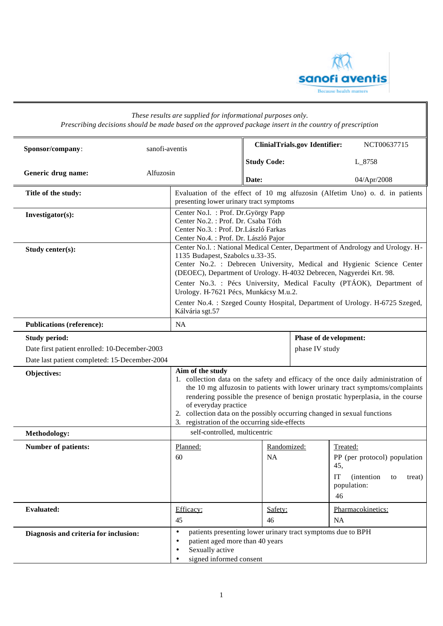

|                                                                                                                        | Prescribing decisions should be made based on the approved package insert in the country of prescription |                                                                                                                                                                                                                                                                                                                                                                                                                              |                                                                                                                  |  |
|------------------------------------------------------------------------------------------------------------------------|----------------------------------------------------------------------------------------------------------|------------------------------------------------------------------------------------------------------------------------------------------------------------------------------------------------------------------------------------------------------------------------------------------------------------------------------------------------------------------------------------------------------------------------------|------------------------------------------------------------------------------------------------------------------|--|
| Sponsor/company:                                                                                                       | sanofi-aventis                                                                                           | <b>ClinialTrials.gov Identifier:</b>                                                                                                                                                                                                                                                                                                                                                                                         | NCT00637715                                                                                                      |  |
|                                                                                                                        |                                                                                                          | <b>Study Code:</b>                                                                                                                                                                                                                                                                                                                                                                                                           | L_8758                                                                                                           |  |
| Generic drug name:                                                                                                     | Alfuzosin                                                                                                | Date:                                                                                                                                                                                                                                                                                                                                                                                                                        | 04/Apr/2008                                                                                                      |  |
| Title of the study:                                                                                                    |                                                                                                          | presenting lower urinary tract symptoms                                                                                                                                                                                                                                                                                                                                                                                      | Evaluation of the effect of 10 mg alfuzosin (Alfetim Uno) o. d. in patients                                      |  |
| Investigator(s):                                                                                                       |                                                                                                          | Center No.l. : Prof. Dr. György Papp<br>Center No.2. : Prof. Dr. Csaba Tóth<br>Center No.3. : Prof. Dr.László Farkas<br>Center No.4. : Prof. Dr. László Pajor                                                                                                                                                                                                                                                                |                                                                                                                  |  |
| Study center(s):                                                                                                       |                                                                                                          | Center No.l. : National Medical Center, Department of Andrology and Urology. H-<br>1135 Budapest, Szabolcs u.33-35.<br>Center No.2. : Debrecen University, Medical and Hygienic Science Center<br>(DEOEC), Department of Urology. H-4032 Debrecen, Nagyerdei Krt. 98.<br>Center No.3. : Pécs University, Medical Faculty (PTÁOK), Department of<br>Urology. H-7621 Pécs, Munkácsy M.u.2.                                     |                                                                                                                  |  |
|                                                                                                                        | Kálvária sgt.57                                                                                          | Center No.4.: Szeged County Hospital, Department of Urology. H-6725 Szeged,                                                                                                                                                                                                                                                                                                                                                  |                                                                                                                  |  |
| <b>Publications (reference):</b>                                                                                       | <b>NA</b>                                                                                                |                                                                                                                                                                                                                                                                                                                                                                                                                              |                                                                                                                  |  |
| <b>Study period:</b><br>Date first patient enrolled: 10-December-2003<br>Date last patient completed: 15-December-2004 |                                                                                                          |                                                                                                                                                                                                                                                                                                                                                                                                                              | Phase of de velopment:<br>phase IV study                                                                         |  |
| Objectives:                                                                                                            |                                                                                                          | Aim of the study<br>1. collection data on the safety and efficacy of the once daily administration of<br>the 10 mg alfuzosin to patients with lower urinary tract symptoms/complaints<br>rendering possible the presence of benign prostatic hyperplasia, in the course<br>of everyday practice<br>2. collection data on the possibly occurring changed in sexual functions<br>3. registration of the occurring side-effects |                                                                                                                  |  |
| Methodology:                                                                                                           |                                                                                                          | self-controlled, multicentric                                                                                                                                                                                                                                                                                                                                                                                                |                                                                                                                  |  |
| <b>Number of patients:</b>                                                                                             | Planned:<br>60                                                                                           | Randomized:<br>NA                                                                                                                                                                                                                                                                                                                                                                                                            | Treated:<br>PP (per protocol) population<br>45,<br>IT<br><i>(intention)</i><br>treat)<br>to<br>population:<br>46 |  |
| <b>Evaluated:</b>                                                                                                      | Efficacy:<br>45                                                                                          | Safety:<br>46                                                                                                                                                                                                                                                                                                                                                                                                                | Pharmacokinetics:<br>NA                                                                                          |  |
| Diagnosis and criteria for inclusion:                                                                                  | $\bullet$<br>$\bullet$<br>Sexually active<br>$\bullet$                                                   | patients presenting lower urinary tract symptoms due to BPH<br>patient aged more than 40 years<br>signed informed consent                                                                                                                                                                                                                                                                                                    |                                                                                                                  |  |

## *These results are supplied for informational purposes only.*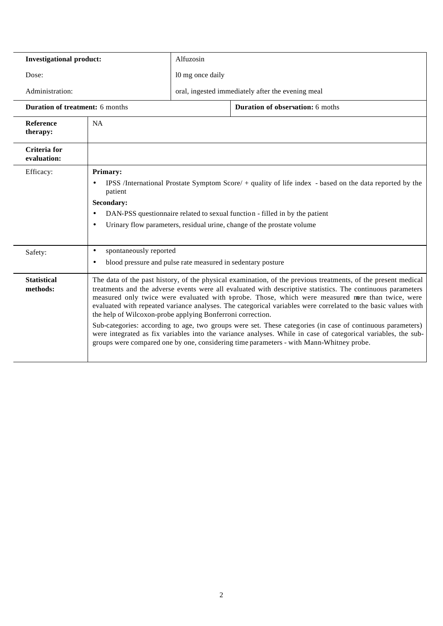| <b>Investigational product:</b>        |                                                                                                                 | Alfuzosin                                                                                                                                                                                                                                                                                                                                                                                                                                                                                                                                                                                                                                                                                                                                                                                                                                  |                                         |  |
|----------------------------------------|-----------------------------------------------------------------------------------------------------------------|--------------------------------------------------------------------------------------------------------------------------------------------------------------------------------------------------------------------------------------------------------------------------------------------------------------------------------------------------------------------------------------------------------------------------------------------------------------------------------------------------------------------------------------------------------------------------------------------------------------------------------------------------------------------------------------------------------------------------------------------------------------------------------------------------------------------------------------------|-----------------------------------------|--|
| Dose:                                  |                                                                                                                 | 10 mg once daily                                                                                                                                                                                                                                                                                                                                                                                                                                                                                                                                                                                                                                                                                                                                                                                                                           |                                         |  |
| Administration:                        |                                                                                                                 | oral, ingested immediately after the evening meal                                                                                                                                                                                                                                                                                                                                                                                                                                                                                                                                                                                                                                                                                                                                                                                          |                                         |  |
| <b>Duration of treatment: 6 months</b> |                                                                                                                 |                                                                                                                                                                                                                                                                                                                                                                                                                                                                                                                                                                                                                                                                                                                                                                                                                                            | <b>Duration of observation:</b> 6 moths |  |
| <b>Reference</b><br>therapy:           | NA                                                                                                              |                                                                                                                                                                                                                                                                                                                                                                                                                                                                                                                                                                                                                                                                                                                                                                                                                                            |                                         |  |
| Criteria for<br>evaluation:            |                                                                                                                 |                                                                                                                                                                                                                                                                                                                                                                                                                                                                                                                                                                                                                                                                                                                                                                                                                                            |                                         |  |
| Efficacy:                              | Primary:<br>$\bullet$<br>patient<br><b>Secondary:</b><br>$\bullet$<br>$\bullet$                                 | IPSS /International Prostate Symptom Score/ $+$ quality of life index - based on the data reported by the<br>DAN-PSS questionnaire related to sexual function - filled in by the patient<br>Urinary flow parameters, residual urine, change of the prostate volume                                                                                                                                                                                                                                                                                                                                                                                                                                                                                                                                                                         |                                         |  |
| Safety:                                | spontaneously reported<br>$\bullet$<br>blood pressure and pulse rate measured in sedentary posture<br>$\bullet$ |                                                                                                                                                                                                                                                                                                                                                                                                                                                                                                                                                                                                                                                                                                                                                                                                                                            |                                         |  |
| <b>Statistical</b><br>methods:         |                                                                                                                 | The data of the past history, of the physical examination, of the previous treatments, of the present medical<br>treatments and the adverse events were all evaluated with descriptive statistics. The continuous parameters<br>measured only twice were evaluated with t-probe. Those, which were measured nore than twice, were<br>evaluated with repeated variance analyses. The categorical variables were correlated to the basic values with<br>the help of Wilcoxon-probe applying Bonferroni correction.<br>Sub-categories: according to age, two groups were set. These categories (in case of continuous parameters)<br>were integrated as fix variables into the variance analyses. While in case of categorical variables, the sub-<br>groups were compared one by one, considering time parameters - with Mann-Whitney probe. |                                         |  |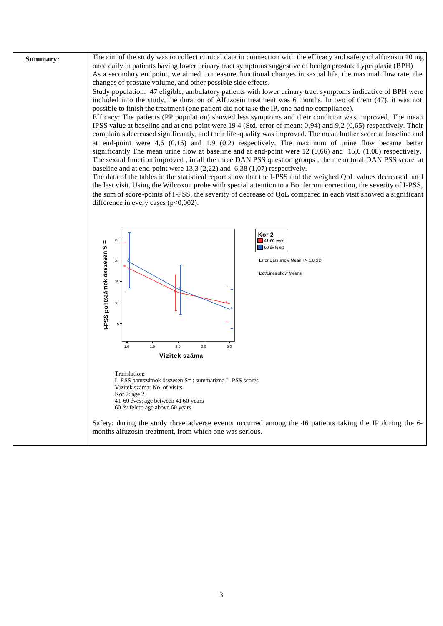Summary:

The aim of the study was to collect clinical data in connection with the efficacy and safety of alfuzosin 10 mg once daily in patients having lower urinary tract symptoms suggestive of benign prostate hyperplasia (BPH) As a secondary endpoint, we aimed to measure functional changes in sexual life, the maximal flow rate, the changes of prostate volume, and other possible side effects.

Study population: 47 eligible, ambulatory patients with lower urinary tract symptoms indicative of BPH were included into the study, the duration of Alfuzosin treatment was 6 months. In two of them (47), it was not possible to finish the treatment (one patient did not take the IP, one had no compliance).

Efficacy: The patients (PP population) showed less symptoms and their condition was improved. The mean IPSS value at baseline and at end-point were 19 4 (Std. error of mean: 0,94) and 9,2 (0,65) respectively. Their complaints decreased significantly, and their life-quality was improved. The mean bother score at baseline and at end-point were 4,6  $(0,16)$  and 1,9  $(0,2)$  respectively. The maximum of urine flow became better significantly The mean urine flow at baseline and at end-point were  $12(0,66)$  and  $15,6(1,08)$  respectively. The sexual function improved, in all the three DAN PSS question groups, the mean total DAN PSS score at baseline and at end-point were  $13.3 (2.22)$  and  $6.38 (1.07)$  respectively.

The data of the tables in the statistical report show that the I-PSS and the weighed OoL values decreased until the last visit. Using the Wilcoxon probe with special attention to a Bonferroni correction, the severity of I-PSS, the sum of score-points of I-PSS, the severity of decrease of OoL compared in each visit showed a significant difference in every cases  $(p<0,002)$ .

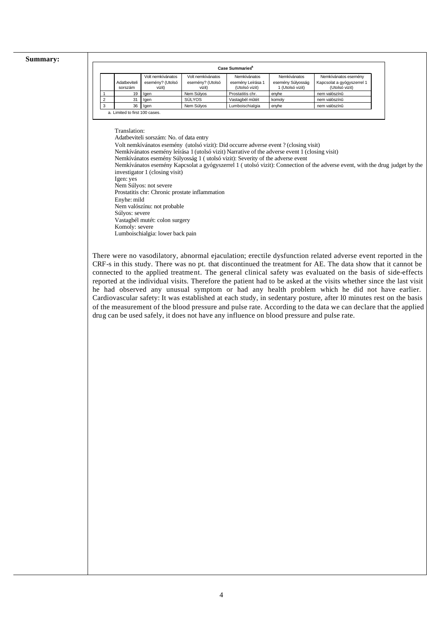## **Summary:**

|                | Case Summaries <sup>a</sup>    |                            |                            |                                     |                                       |                                              |
|----------------|--------------------------------|----------------------------|----------------------------|-------------------------------------|---------------------------------------|----------------------------------------------|
|                |                                | Volt nemkívánatos          | Volt nemkívánatos          | Nemkívánatos                        | Nemkívánatos                          | Nemkívánatos esemény                         |
|                | Adatbeviteli<br>sorszám        | esemény? (Utolsó<br>vizit) | esemény? (Utolsó<br>vizit) | esemény Leírása 1<br>(Utolsó vizit) | esemény Súlyosság<br>1 (Utolsó vizit) | Kapcsolat a gyógyszerrel 1<br>(Utolsó vizit) |
|                | 19                             | lgen                       | Nem Súlyos                 | Prostatitis chr.                    | envhe                                 | nem valószínű                                |
| $\overline{2}$ | 31                             | lgen                       | SÚLYOS                     | Vastagbél mûtét                     | komoly                                | nem valószínű                                |
| 3              | 36                             | laen                       | Nem Súlyos                 | Lumboischialgia                     | enyhe                                 | nem valószínű                                |
|                | a. Limited to first 100 cases. |                            |                            |                                     |                                       |                                              |

Translation:

Adatbeviteli sorszám: No. of data entry

Volt nemkívánatos esemény (utolsó vizit): Did occurre adverse event ? (closing visit)

Nemkívánatos esemény leírása 1 (utolsó vizit) Narrative of the adverse event 1 (closing visit)

Nemkívánatos esemény Súlyosság 1 ( utolsó vizit): Severity of the adverse event

Nemkívánatos esemény Kapcsolat a gyógyszerrel 1 ( utolsó vizit): Connection of the adverse event, with the drug judget by the investigator 1 (closing visit)

Igen: yes

Nem Súlyos: not severe Prostatitis chr: Chronic prostate inflammation

Enyhe: mild

Nem valószínu: not probable

Súlyos: severe

Vastagbél mutét: colon surgery Komoly: severe

Lumboischialgia: lower back pain

There were no vasodilatory, abnormal ejaculation; erectile dysfunction related adverse event reported in the CRF-s in this study. There was no pt. that discontinued the treatment for AE. The data show that it cannot be connected to the applied treatment. The general clinical safety was evaluated on the basis of side-effects reported at the individual visits. Therefore the patient had to be asked at the visits whether since the last visit he had observed any unusual symptom or had any health problem which he did not have earlier. Cardiovascular safety: It was established at each study, in sedentary posture, after l0 minutes rest on the basis of the measurement of the blood pressure and pulse rate. According to the data we can declare that the applied drug can be used safely, it does not have any influence on blood pressure and pulse rate.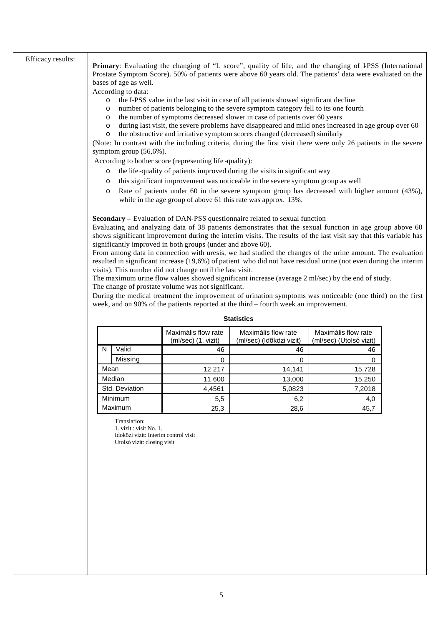## Efficacy results:

Primary: Evaluating the changing of "L score", quality of life, and the changing of IPSS (International Prostate Symptom Score). 50% of patients were above 60 years old. The patients' data were evaluated on the bases of age as well.

According to data:

- o the I-PSS value in the last visit in case of all patients showed significant decline
- o number of patients belonging to the severe symptom category fell to its one fourth
- o the number of symptoms decreased slower in case of patients over 60 years
- o during last visit, the severe problems have disappeared and mild ones increased in age group over 60 o the obstructive and irritative symptom scores changed (decreased) similarly

(Note: In contrast with the including criteria, during the first visit there were only 26 patients in the severe symptom group (56,6%).

According to bother score (representing life -quality):

- the life-quality of patients improved during the visits in significant way
- this significant improvement was noticeable in the severe symptom group as well
- o Rate of patients under 60 in the severe symptom group has decreased with higher amount (43%), while in the age group of above 61 this rate was approx. 13%.

**Secondary –** Evaluation of DAN-PSS questionnaire related to sexual function

Evaluating and analyzing data of 38 patients demonstrates that the sexual function in age group above 60 shows significant improvement during the interim visits. The results of the last visit say that this variable has significantly improved in both groups (under and above 60).

From among data in connection with uresis, we had studied the changes of the urine amount. The evaluation resulted in significant increase (19,6%) of patient who did not have residual urine (not even during the interim visits). This number did not change until the last visit.

The maximum urine flow values showed significant increase (average 2 ml/sec) by the end of study. The change of prostate volume was not significant.

During the medical treatment the improvement of urination symptoms was noticeable (one third) on the first week, and on 90% of the patients reported at the third – fourth week an improvement.

|      |                | Maximális flow rate<br>(ml/sec) (1. vizit) | Maximális flow rate<br>(ml/sec) (Időközi vizit) | Maximális flow rate<br>(ml/sec) (Utolsó vizit) |
|------|----------------|--------------------------------------------|-------------------------------------------------|------------------------------------------------|
| N    | Valid          | 46                                         | 46                                              | 46                                             |
|      | Missing        |                                            | 0                                               | 0                                              |
| Mean |                | 12,217                                     | 14,141                                          | 15,728                                         |
|      | Median         | 11,600                                     | 13,000                                          | 15,250                                         |
|      | Std. Deviation | 4,4561                                     | 5,0823                                          | 7,2018                                         |
|      | Minimum        | 5,5                                        | 6,2                                             | 4,0                                            |
|      | Maximum        | 25,3                                       | 28,6                                            | 45,7                                           |

## **Statistics**

Translation:

1. vizit : visit No. 1. Idoközi vizit: Interim control visit Utolsó vizit: closing visit